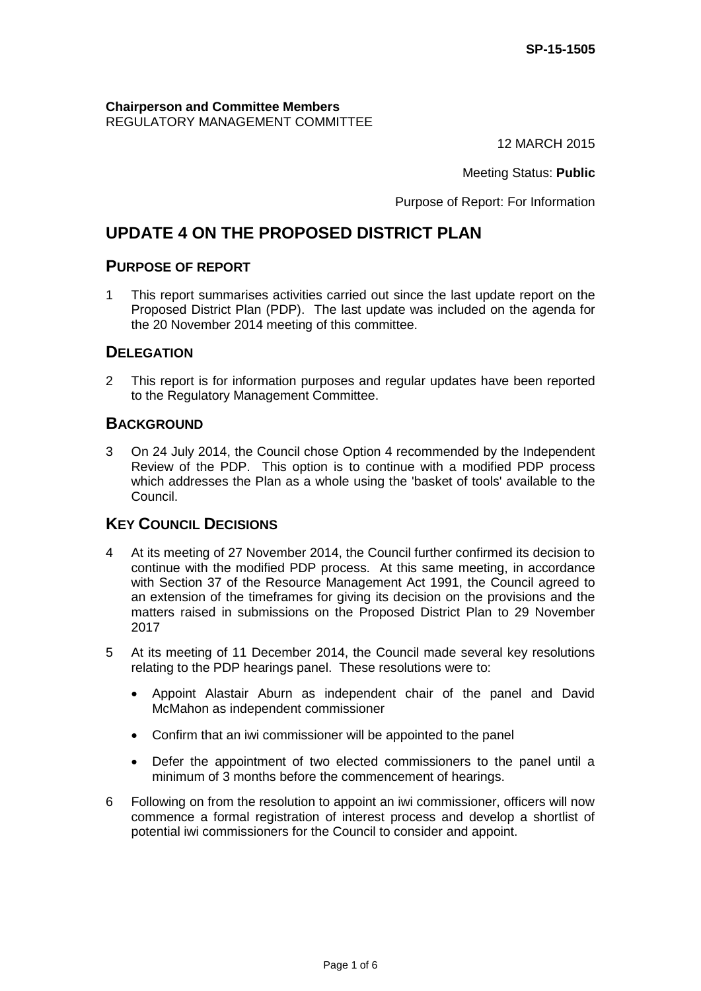**Chairperson and Committee Members** REGULATORY MANAGEMENT COMMITTEE

12 MARCH 2015

Meeting Status: **Public**

Purpose of Report: For Information

# **UPDATE 4 ON THE PROPOSED DISTRICT PLAN**

### **PURPOSE OF REPORT**

1 This report summarises activities carried out since the last update report on the Proposed District Plan (PDP). The last update was included on the agenda for the 20 November 2014 meeting of this committee.

# **DELEGATION**

2 This report is for information purposes and regular updates have been reported to the Regulatory Management Committee.

#### **BACKGROUND**

3 On 24 July 2014, the Council chose Option 4 recommended by the Independent Review of the PDP. This option is to continue with a modified PDP process which addresses the Plan as a whole using the 'basket of tools' available to the Council.

# **KEY COUNCIL DECISIONS**

- 4 At its meeting of 27 November 2014, the Council further confirmed its decision to continue with the modified PDP process. At this same meeting, in accordance with Section 37 of the Resource Management Act 1991, the Council agreed to an extension of the timeframes for giving its decision on the provisions and the matters raised in submissions on the Proposed District Plan to 29 November 2017
- 5 At its meeting of 11 December 2014, the Council made several key resolutions relating to the PDP hearings panel. These resolutions were to:
	- Appoint Alastair Aburn as independent chair of the panel and David McMahon as independent commissioner
	- Confirm that an iwi commissioner will be appointed to the panel
	- Defer the appointment of two elected commissioners to the panel until a minimum of 3 months before the commencement of hearings.
- 6 Following on from the resolution to appoint an iwi commissioner, officers will now commence a formal registration of interest process and develop a shortlist of potential iwi commissioners for the Council to consider and appoint.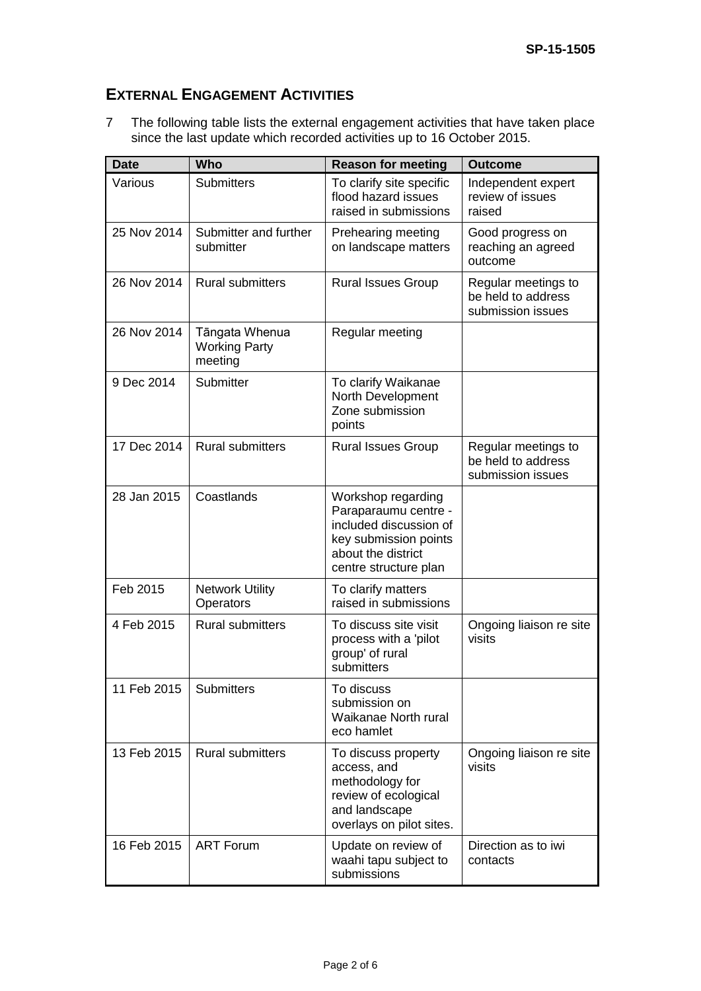# **EXTERNAL ENGAGEMENT ACTIVITIES**

7 The following table lists the external engagement activities that have taken place since the last update which recorded activities up to 16 October 2015.

| <b>Date</b> | <b>Who</b>                                        | <b>Reason for meeting</b>                                                                                                                    | <b>Outcome</b>                                                 |
|-------------|---------------------------------------------------|----------------------------------------------------------------------------------------------------------------------------------------------|----------------------------------------------------------------|
| Various     | <b>Submitters</b>                                 | To clarify site specific<br>flood hazard issues<br>raised in submissions                                                                     | Independent expert<br>review of issues<br>raised               |
| 25 Nov 2014 | Submitter and further<br>submitter                | Prehearing meeting<br>on landscape matters                                                                                                   | Good progress on<br>reaching an agreed<br>outcome              |
| 26 Nov 2014 | <b>Rural submitters</b>                           | <b>Rural Issues Group</b>                                                                                                                    | Regular meetings to<br>be held to address<br>submission issues |
| 26 Nov 2014 | Tāngata Whenua<br><b>Working Party</b><br>meeting | Regular meeting                                                                                                                              |                                                                |
| 9 Dec 2014  | Submitter                                         | To clarify Waikanae<br>North Development<br>Zone submission<br>points                                                                        |                                                                |
| 17 Dec 2014 | <b>Rural submitters</b>                           | <b>Rural Issues Group</b>                                                                                                                    | Regular meetings to<br>be held to address<br>submission issues |
| 28 Jan 2015 | Coastlands                                        | Workshop regarding<br>Paraparaumu centre -<br>included discussion of<br>key submission points<br>about the district<br>centre structure plan |                                                                |
| Feb 2015    | <b>Network Utility</b><br>Operators               | To clarify matters<br>raised in submissions                                                                                                  |                                                                |
| 4 Feb 2015  | <b>Rural submitters</b>                           | To discuss site visit<br>process with a 'pilot<br>group' of rural<br>submitters                                                              | Ongoing liaison re site<br>visits                              |
| 11 Feb 2015 | <b>Submitters</b>                                 | To discuss<br>submission on<br>Waikanae North rural<br>eco hamlet                                                                            |                                                                |
| 13 Feb 2015 | <b>Rural submitters</b>                           | To discuss property<br>access, and<br>methodology for<br>review of ecological<br>and landscape<br>overlays on pilot sites.                   | Ongoing liaison re site<br>visits                              |
| 16 Feb 2015 | <b>ART Forum</b>                                  | Update on review of<br>waahi tapu subject to<br>submissions                                                                                  | Direction as to iwi<br>contacts                                |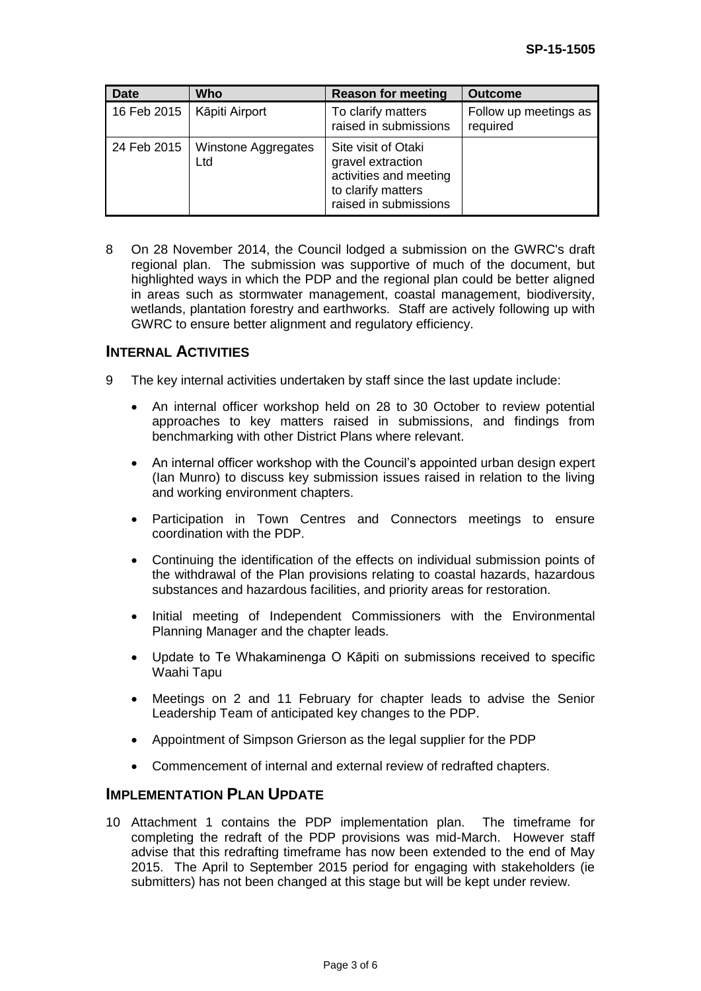| <b>Date</b> | <b>Who</b>                 | <b>Reason for meeting</b>                                                                                         | <b>Outcome</b>                    |
|-------------|----------------------------|-------------------------------------------------------------------------------------------------------------------|-----------------------------------|
| 16 Feb 2015 | Kāpiti Airport             | To clarify matters<br>raised in submissions                                                                       | Follow up meetings as<br>required |
| 24 Feb 2015 | Winstone Aggregates<br>Ltd | Site visit of Otaki<br>gravel extraction<br>activities and meeting<br>to clarify matters<br>raised in submissions |                                   |

8 On 28 November 2014, the Council lodged a submission on the GWRC's draft regional plan. The submission was supportive of much of the document, but highlighted ways in which the PDP and the regional plan could be better aligned in areas such as stormwater management, coastal management, biodiversity, wetlands, plantation forestry and earthworks. Staff are actively following up with GWRC to ensure better alignment and regulatory efficiency.

### **INTERNAL ACTIVITIES**

- 9 The key internal activities undertaken by staff since the last update include:
	- An internal officer workshop held on 28 to 30 October to review potential approaches to key matters raised in submissions, and findings from benchmarking with other District Plans where relevant.
	- An internal officer workshop with the Council's appointed urban design expert (Ian Munro) to discuss key submission issues raised in relation to the living and working environment chapters.
	- Participation in Town Centres and Connectors meetings to ensure coordination with the PDP.
	- Continuing the identification of the effects on individual submission points of the withdrawal of the Plan provisions relating to coastal hazards, hazardous substances and hazardous facilities, and priority areas for restoration.
	- Initial meeting of Independent Commissioners with the Environmental Planning Manager and the chapter leads.
	- Update to Te Whakaminenga O Kāpiti on submissions received to specific Waahi Tapu
	- Meetings on 2 and 11 February for chapter leads to advise the Senior Leadership Team of anticipated key changes to the PDP.
	- Appointment of Simpson Grierson as the legal supplier for the PDP
	- Commencement of internal and external review of redrafted chapters.

#### **IMPLEMENTATION PLAN UPDATE**

10 Attachment 1 contains the PDP implementation plan. The timeframe for completing the redraft of the PDP provisions was mid-March. However staff advise that this redrafting timeframe has now been extended to the end of May 2015. The April to September 2015 period for engaging with stakeholders (ie submitters) has not been changed at this stage but will be kept under review.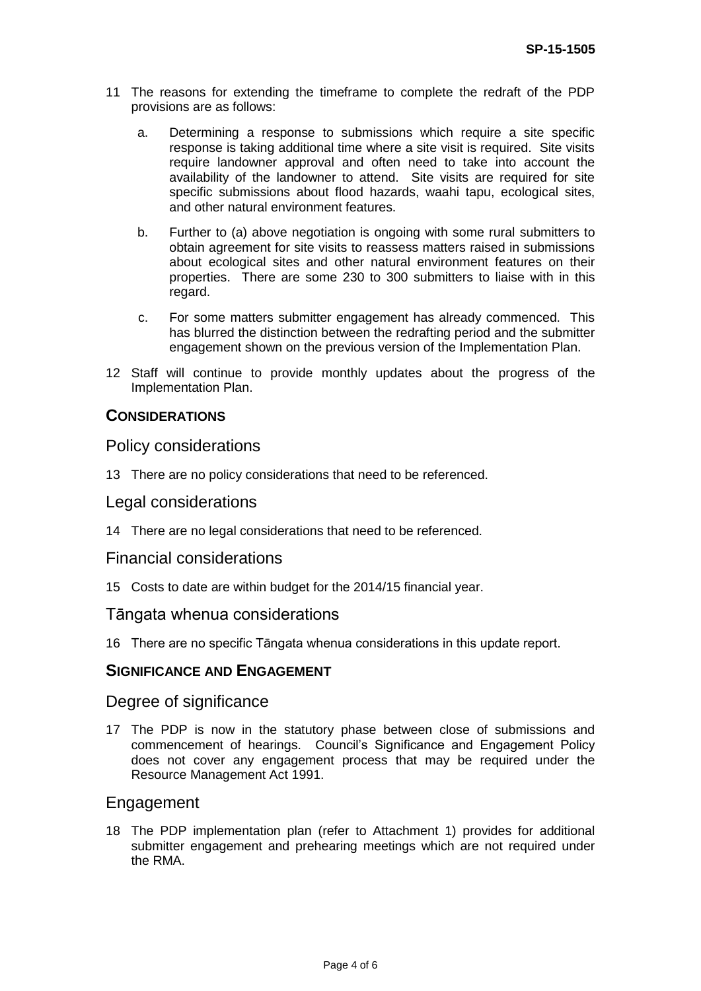- 11 The reasons for extending the timeframe to complete the redraft of the PDP provisions are as follows:
	- a. Determining a response to submissions which require a site specific response is taking additional time where a site visit is required. Site visits require landowner approval and often need to take into account the availability of the landowner to attend. Site visits are required for site specific submissions about flood hazards, waahi tapu, ecological sites, and other natural environment features.
	- b. Further to (a) above negotiation is ongoing with some rural submitters to obtain agreement for site visits to reassess matters raised in submissions about ecological sites and other natural environment features on their properties. There are some 230 to 300 submitters to liaise with in this regard.
	- c. For some matters submitter engagement has already commenced. This has blurred the distinction between the redrafting period and the submitter engagement shown on the previous version of the Implementation Plan.
- 12 Staff will continue to provide monthly updates about the progress of the Implementation Plan.

### **CONSIDERATIONS**

#### Policy considerations

13 There are no policy considerations that need to be referenced.

#### Legal considerations

14 There are no legal considerations that need to be referenced.

#### Financial considerations

15 Costs to date are within budget for the 2014/15 financial year.

#### Tāngata whenua considerations

16 There are no specific Tāngata whenua considerations in this update report.

#### **SIGNIFICANCE AND ENGAGEMENT**

#### Degree of significance

17 The PDP is now in the statutory phase between close of submissions and commencement of hearings. Council's Significance and Engagement Policy does not cover any engagement process that may be required under the Resource Management Act 1991.

#### Engagement

18 The PDP implementation plan (refer to Attachment 1) provides for additional submitter engagement and prehearing meetings which are not required under the RMA.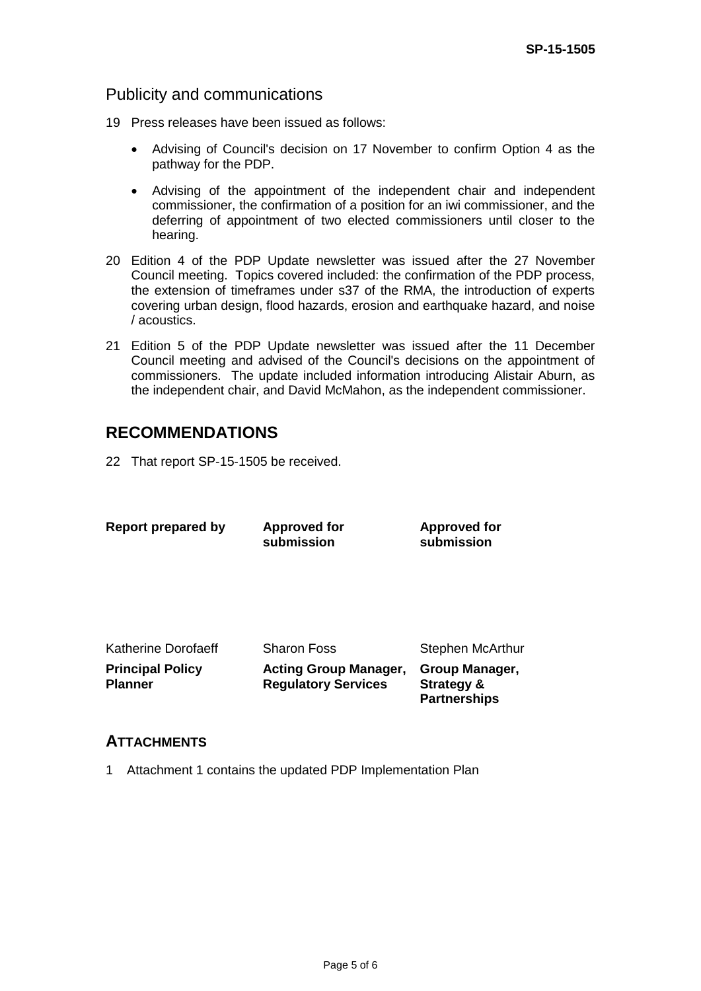# Publicity and communications

- 19 Press releases have been issued as follows:
	- Advising of Council's decision on 17 November to confirm Option 4 as the pathway for the PDP.
	- Advising of the appointment of the independent chair and independent commissioner, the confirmation of a position for an iwi commissioner, and the deferring of appointment of two elected commissioners until closer to the hearing.
- 20 Edition 4 of the PDP Update newsletter was issued after the 27 November Council meeting. Topics covered included: the confirmation of the PDP process, the extension of timeframes under s37 of the RMA, the introduction of experts covering urban design, flood hazards, erosion and earthquake hazard, and noise / acoustics.
- 21 Edition 5 of the PDP Update newsletter was issued after the 11 December Council meeting and advised of the Council's decisions on the appointment of commissioners. The update included information introducing Alistair Aburn, as the independent chair, and David McMahon, as the independent commissioner.

# **RECOMMENDATIONS**

22 That report SP-15-1505 be received.

| Report prepared by                        | <b>Approved for</b><br>submission                          | <b>Approved for</b><br>submission                              |
|-------------------------------------------|------------------------------------------------------------|----------------------------------------------------------------|
|                                           |                                                            |                                                                |
| Katherine Dorofaeff                       | <b>Sharon Foss</b>                                         | Stephen McArthur                                               |
| <b>Principal Policy</b><br><b>Planner</b> | <b>Acting Group Manager,</b><br><b>Regulatory Services</b> | Group Manager,<br><b>Strategy &amp;</b><br><b>Partnerships</b> |

## **ATTACHMENTS**

1 Attachment 1 contains the updated PDP Implementation Plan